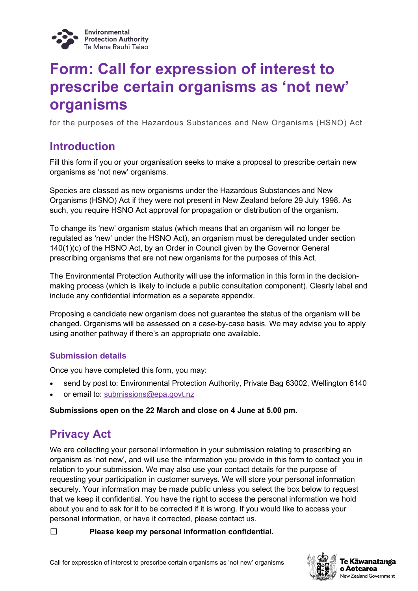

# **Form: Call for expression of interest to prescribe certain organisms as 'not new' organisms**

for the purposes of the Hazardous Substances and New Organisms (HSNO) Act

# **Introduction**

Fill this form if you or your organisation seeks to make a proposal to prescribe certain new organisms as 'not new' organisms.

Species are classed as new organisms under the Hazardous Substances and New Organisms (HSNO) Act if they were not present in New Zealand before 29 July 1998. As such, you require HSNO Act approval for propagation or distribution of the organism.

To change its 'new' organism status (which means that an organism will no longer be regulated as 'new' under the HSNO Act), an organism must be deregulated under section 140(1)(c) of the HSNO Act, by an Order in Council given by the Governor General prescribing organisms that are not new organisms for the purposes of this Act.

The Environmental Protection Authority will use the information in this form in the decisionmaking process (which is likely to include a public consultation component). Clearly label and include any confidential information as a separate appendix.

Proposing a candidate new organism does not guarantee the status of the organism will be changed. Organisms will be assessed on a case-by-case basis. We may advise you to apply using another pathway if there's an appropriate one available.

# **Submission details**

Once you have completed this form, you may:

- send by post to: Environmental Protection Authority, Private Bag 63002, Wellington 6140
- or email to: [submissions@epa.govt.nz](mailto:submissions@epa.govt.nz)

**Submissions open on the 22 March and close on 4 June at 5.00 pm.**

# **Privacy Act**

We are collecting your personal information in your submission relating to prescribing an organism as 'not new', and will use the information you provide in this form to contact you in relation to your submission. We may also use your contact details for the purpose of requesting your participation in customer surveys. We will store your personal information securely. Your information may be made public unless you select the box below to request that we keep it confidential. You have the right to access the personal information we hold about you and to ask for it to be corrected if it is wrong. If you would like to access your personal information, or have it corrected, please contact us.

## ☐ **Please keep my personal information confidential.**

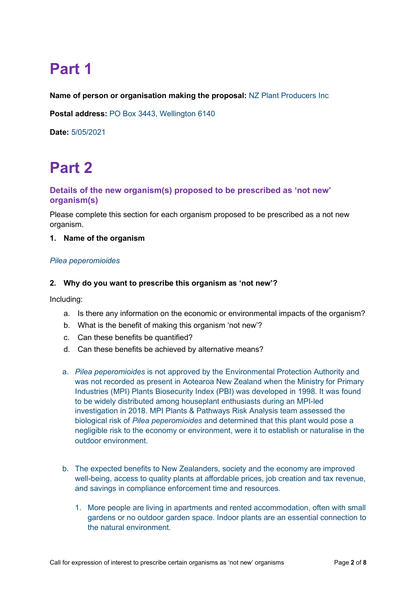# **Part 1**

**Name of person or organisation making the proposal:** NZ Plant Producers Inc

**Postal address:** PO Box 3443, Wellington 6140

**Date:** 5/05/2021

# **Part 2**

# **Details of the new organism(s) proposed to be prescribed as 'not new' organism(s)**

Please complete this section for each organism proposed to be prescribed as a not new organism.

### **1. Name of the organism**

#### *Pilea peperomioides*

#### **2. Why do you want to prescribe this organism as 'not new'?**

Including:

- a. Is there any information on the economic or environmental impacts of the organism?
- b. What is the benefit of making this organism 'not new'?
- c. Can these benefits be quantified?
- d. Can these benefits be achieved by alternative means?
- a. *Pilea peperomioides* is not approved by the Environmental Protection Authority and was not recorded as present in Aotearoa New Zealand when the Ministry for Primary Industries (MPI) Plants Biosecurity Index (PBI) was developed in 1998. It was found to be widely distributed among houseplant enthusiasts during an MPI-led investigation in 2018. MPI Plants & Pathways Risk Analysis team assessed the biological risk of *Pilea peperomioides* and determined that this plant would pose a negligible risk to the economy or environment, were it to establish or naturalise in the outdoor environment.
- b. The expected benefits to New Zealanders, society and the economy are improved well-being, access to quality plants at affordable prices, job creation and tax revenue, and savings in compliance enforcement time and resources.
	- 1. More people are living in apartments and rented accommodation, often with small gardens or no outdoor garden space. Indoor plants are an essential connection to the natural environment.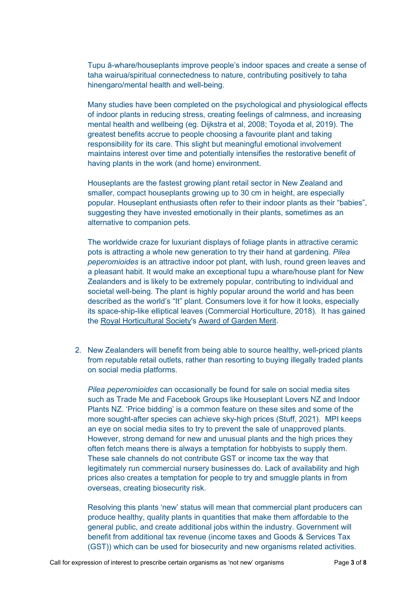Tupu ā-whare/houseplants improve people's indoor spaces and create a sense of taha wairua/spiritual connectedness to nature, contributing positively to taha hinengaro/mental health and well-being.

Many studies have been completed on the psychological and physiological effects of indoor plants in reducing stress, creating feelings of calmness, and increasing mental health and wellbeing (eg. Dijkstra et al, 2008; Toyoda et al, 2019). The greatest benefits accrue to people choosing a favourite plant and taking responsibility for its care. This slight but meaningful emotional involvement maintains interest over time and potentially intensifies the restorative benefit of having plants in the work (and home) environment.

Houseplants are the fastest growing plant retail sector in New Zealand and smaller, compact houseplants growing up to 30 cm in height, are especially popular. Houseplant enthusiasts often refer to their indoor plants as their "babies", suggesting they have invested emotionally in their plants, sometimes as an alternative to companion pets.

The worldwide craze for luxuriant displays of foliage plants in attractive ceramic pots is attracting a whole new generation to try their hand at gardening. *Pilea peperomioides* is an attractive indoor pot plant, with lush, round green leaves and a pleasant habit. It would make an exceptional tupu a whare/house plant for New Zealanders and is likely to be extremely popular, contributing to individual and societal well-being. The plant is highly popular around the world and has been described as the world's "It" plant. Consumers love it for how it looks, especially its space-ship-like elliptical leaves (Commercial Horticulture, 2018). It has gained the [Royal Horticultural Society'](https://en.wikipedia.org/wiki/Royal_Horticultural_Society)s [Award of Garden Merit.](https://en.wikipedia.org/wiki/Award_of_Garden_Merit)

2. New Zealanders will benefit from being able to source healthy, well-priced plants from reputable retail outlets, rather than resorting to buying illegally traded plants on social media platforms.

*Pilea peperomioides* can occasionally be found for sale on social media sites such as Trade Me and Facebook Groups like Houseplant Lovers NZ and Indoor Plants NZ. 'Price bidding' is a common feature on these sites and some of the more sought-after species can achieve sky-high prices (Stuff, 2021). MPI keeps an eye on social media sites to try to prevent the sale of unapproved plants. However, strong demand for new and unusual plants and the high prices they often fetch means there is always a temptation for hobbyists to supply them. These sale channels do not contribute GST or income tax the way that legitimately run commercial nursery businesses do. Lack of availability and high prices also creates a temptation for people to try and smuggle plants in from overseas, creating biosecurity risk.

Resolving this plants 'new' status will mean that commercial plant producers can produce healthy, quality plants in quantities that make them affordable to the general public, and create additional jobs within the industry. Government will benefit from additional tax revenue (income taxes and Goods & Services Tax (GST)) which can be used for biosecurity and new organisms related activities.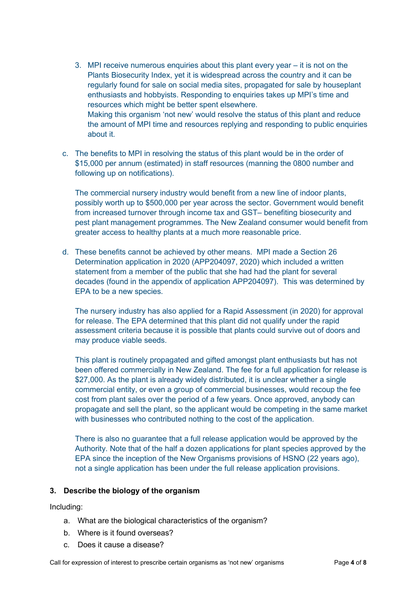- 3. MPI receive numerous enquiries about this plant every year it is not on the Plants Biosecurity Index, yet it is widespread across the country and it can be regularly found for sale on social media sites, propagated for sale by houseplant enthusiasts and hobbyists. Responding to enquiries takes up MPI's time and resources which might be better spent elsewhere. Making this organism 'not new' would resolve the status of this plant and reduce the amount of MPI time and resources replying and responding to public enquiries about it.
- c. The benefits to MPI in resolving the status of this plant would be in the order of \$15,000 per annum (estimated) in staff resources (manning the 0800 number and following up on notifications).

The commercial nursery industry would benefit from a new line of indoor plants, possibly worth up to \$500,000 per year across the sector. Government would benefit from increased turnover through income tax and GST– benefiting biosecurity and pest plant management programmes. The New Zealand consumer would benefit from greater access to healthy plants at a much more reasonable price.

d. These benefits cannot be achieved by other means. MPI made a Section 26 Determination application in 2020 (APP204097, 2020) which included a written statement from a member of the public that she had had the plant for several decades (found in the appendix of application APP204097). This was determined by EPA to be a new species.

The nursery industry has also applied for a Rapid Assessment (in 2020) for approval for release. The EPA determined that this plant did not qualify under the rapid assessment criteria because it is possible that plants could survive out of doors and may produce viable seeds.

This plant is routinely propagated and gifted amongst plant enthusiasts but has not been offered commercially in New Zealand. The fee for a full application for release is \$27,000. As the plant is already widely distributed, it is unclear whether a single commercial entity, or even a group of commercial businesses, would recoup the fee cost from plant sales over the period of a few years. Once approved, anybody can propagate and sell the plant, so the applicant would be competing in the same market with businesses who contributed nothing to the cost of the application.

There is also no guarantee that a full release application would be approved by the Authority. Note that of the half a dozen applications for plant species approved by the EPA since the inception of the New Organisms provisions of HSNO (22 years ago), not a single application has been under the full release application provisions.

### **3. Describe the biology of the organism**

Including:

- a. What are the biological characteristics of the organism?
- b. Where is it found overseas?
- c. Does it cause a disease?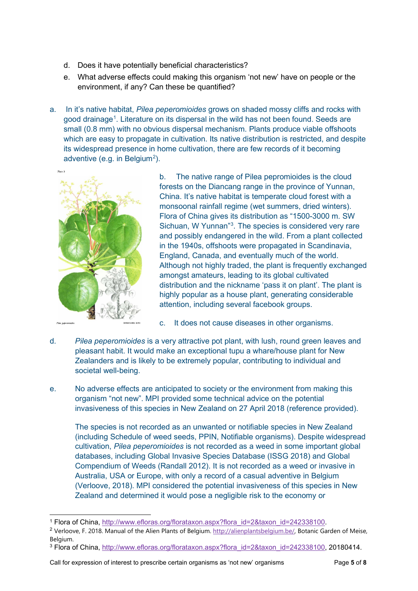- d. Does it have potentially beneficial characteristics?
- e. What adverse effects could making this organism 'not new' have on people or the environment, if any? Can these be quantified?
- a. In it's native habitat, *Pilea peperomioides* grows on shaded mossy cliffs and rocks with good drainage<sup>[1](#page-4-0)</sup>. Literature on its dispersal in the wild has not been found. Seeds are small (0.8 mm) with no obvious dispersal mechanism. Plants produce viable offshoots which are easy to propagate in cultivation. Its native distribution is restricted, and despite its widespread presence in home cultivation, there are few records of it becoming adventive (e.g. in Belgium<sup>[2](#page-4-1)</sup>).



b. The native range of Pilea pepromioides is the cloud forests on the Diancang range in the province of Yunnan, China. It's native habitat is temperate cloud forest with a monsoonal rainfall regime (wet summers, dried winters). Flora of China gives its distribution as "1500-3000 m. SW Sichuan, W Yunnan"[3](#page-4-2) . The species is considered very rare and possibly endangered in the wild. From a plant collected in the 1940s, offshoots were propagated in Scandinavia, England, Canada, and eventually much of the world. Although not highly traded, the plant is frequently exchanged amongst amateurs, leading to its global cultivated distribution and the nickname 'pass it on plant'. The plant is highly popular as a house plant, generating considerable attention, including several facebook groups.

- c. It does not cause diseases in other organisms.
- d. *Pilea peperomioides* is a very attractive pot plant, with lush, round green leaves and pleasant habit. It would make an exceptional tupu a whare/house plant for New Zealanders and is likely to be extremely popular, contributing to individual and societal well-being.
- e. No adverse effects are anticipated to society or the environment from making this organism "not new". MPI provided some technical advice on the potential invasiveness of this species in New Zealand on 27 April 2018 (reference provided).

The species is not recorded as an unwanted or notifiable species in New Zealand (including Schedule of weed seeds, PPIN, Notifiable organisms). Despite widespread cultivation, *Pilea peperomioides* is not recorded as a weed in some important global databases, including Global Invasive Species Database (ISSG 2018) and Global Compendium of Weeds (Randall 2012). It is not recorded as a weed or invasive in Australia, USA or Europe, with only a record of a casual adventive in Belgium (Verloove, 2018). MPI considered the potential invasiveness of this species in New Zealand and determined it would pose a negligible risk to the economy or

<span id="page-4-1"></span><span id="page-4-0"></span><sup>&</sup>lt;sup>1</sup> Flora of China, [http://www.efloras.org/florataxon.aspx?flora\\_id=2&taxon\\_id=242338100.](http://www.efloras.org/florataxon.aspx?flora_id=2&taxon_id=242338100)<br><sup>2</sup> Verloove, F. 2018. Manual of the Alien Plants of Belgium[. http://alienplantsbelgium.be/,](http://alienplantsbelgium.be/) Botanic Garden of Meise, Belgium.

<span id="page-4-2"></span><sup>&</sup>lt;sup>3</sup> Flora of China, [http://www.efloras.org/florataxon.aspx?flora\\_id=2&taxon\\_id=242338100,](http://www.efloras.org/florataxon.aspx?flora_id=2&taxon_id=242338100) 20180414.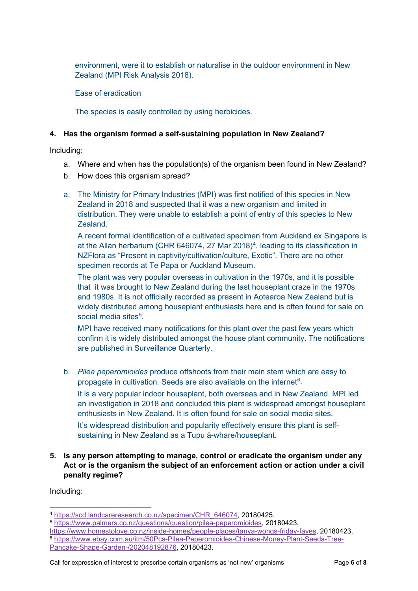environment, were it to establish or naturalise in the outdoor environment in New Zealand (MPI Risk Analysis 2018).

### Ease of eradication

The species is easily controlled by using herbicides.

## **4. Has the organism formed a self-sustaining population in New Zealand?**

Including:

- a. Where and when has the population(s) of the organism been found in New Zealand?
- b. How does this organism spread?
- a. The Ministry for Primary Industries (MPI) was first notified of this species in New Zealand in 2018 and suspected that it was a new organism and limited in distribution. They were unable to establish a point of entry of this species to New Zealand.

A recent formal identification of a cultivated specimen from Auckland ex Singapore is at the Allan herbarium (CHR 6[4](#page-5-0)6074, 27 Mar 2018)<sup>4</sup>, leading to its classification in NZFlora as "Present in captivity/cultivation/culture, Exotic". There are no other specimen records at Te Papa or Auckland Museum.

The plant was very popular overseas in cultivation in the 1970s, and it is possible that it was brought to New Zealand during the last houseplant craze in the 1970s and 1980s. It is not officially recorded as present in Aotearoa New Zealand but is widely distributed among houseplant enthusiasts here and is often found for sale on social media sites<sup>[5](#page-5-1)</sup>.

MPI have received many notifications for this plant over the past few years which confirm it is widely distributed amongst the house plant community. The notifications are published in Surveillance Quarterly.

- b. *Pilea peperomioides* produce offshoots from their main stem which are easy to propagate in cultivation. Seeds are also available on the internet<sup>[6](#page-5-2)</sup>. It is a very popular indoor houseplant, both overseas and in New Zealand. MPI led an investigation in 2018 and concluded this plant is widespread amongst houseplant enthusiasts in New Zealand. It is often found for sale on social media sites. It's widespread distribution and popularity effectively ensure this plant is selfsustaining in New Zealand as a Tupu ā-whare/houseplant.
- **5. Is any person attempting to manage, control or eradicate the organism under any Act or is the organism the subject of an enforcement action or action under a civil penalty regime?**

Including:

<span id="page-5-0"></span><sup>4</sup> [https://scd.landcareresearch.co.nz/specimen/CHR\\_646074,](https://scd.landcareresearch.co.nz/specimen/CHR_646074) 20180425.

<span id="page-5-1"></span><sup>5</sup> [https://www.palmers.co.nz/questions/question/pilea-peperomioides,](https://www.palmers.co.nz/questions/question/pilea-peperomioides) 20180423.

<span id="page-5-2"></span>[https://www.homestolove.co.nz/inside-homes/people-places/tanya-wongs-friday-faves,](https://www.homestolove.co.nz/inside-homes/people-places/tanya-wongs-friday-faves) 20180423. <sup>6</sup> [https://www.ebay.com.au/itm/50Pcs-Pilea-Peperomioides-Chinese-Money-Plant-Seeds-Tree-](https://www.ebay.com.au/itm/50Pcs-Pilea-Peperomioides-Chinese-Money-Plant-Seeds-Tree-Pancake-Shape-Garden-/202048192876)[Pancake-Shape-Garden-/202048192876,](https://www.ebay.com.au/itm/50Pcs-Pilea-Peperomioides-Chinese-Money-Plant-Seeds-Tree-Pancake-Shape-Garden-/202048192876) 20180423.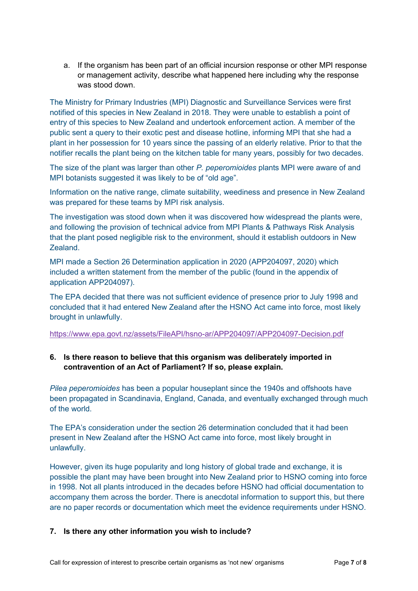a. If the organism has been part of an official incursion response or other MPI response or management activity, describe what happened here including why the response was stood down.

The Ministry for Primary Industries (MPI) Diagnostic and Surveillance Services were first notified of this species in New Zealand in 2018. They were unable to establish a point of entry of this species to New Zealand and undertook enforcement action. A member of the public sent a query to their exotic pest and disease hotline, informing MPI that she had a plant in her possession for 10 years since the passing of an elderly relative. Prior to that the notifier recalls the plant being on the kitchen table for many years, possibly for two decades.

The size of the plant was larger than other *P. peperomioides* plants MPI were aware of and MPI botanists suggested it was likely to be of "old age".

Information on the native range, climate suitability, weediness and presence in New Zealand was prepared for these teams by MPI risk analysis.

The investigation was stood down when it was discovered how widespread the plants were, and following the provision of technical advice from MPI Plants & Pathways Risk Analysis that the plant posed negligible risk to the environment, should it establish outdoors in New Zealand.

MPI made a Section 26 Determination application in 2020 (APP204097, 2020) which included a written statement from the member of the public (found in the appendix of application APP204097).

The EPA decided that there was not sufficient evidence of presence prior to July 1998 and concluded that it had entered New Zealand after the HSNO Act came into force, most likely brought in unlawfully.

<https://www.epa.govt.nz/assets/FileAPI/hsno-ar/APP204097/APP204097-Decision.pdf>

### **6. Is there reason to believe that this organism was deliberately imported in contravention of an Act of Parliament? If so, please explain.**

*Pilea peperomioides* has been a popular houseplant since the 1940s and offshoots have been propagated in Scandinavia, England, Canada, and eventually exchanged through much of the world.

The EPA's consideration under the section 26 determination concluded that it had been present in New Zealand after the HSNO Act came into force, most likely brought in unlawfully.

However, given its huge popularity and long history of global trade and exchange, it is possible the plant may have been brought into New Zealand prior to HSNO coming into force in 1998. Not all plants introduced in the decades before HSNO had official documentation to accompany them across the border. There is anecdotal information to support this, but there are no paper records or documentation which meet the evidence requirements under HSNO.

#### **7. Is there any other information you wish to include?**